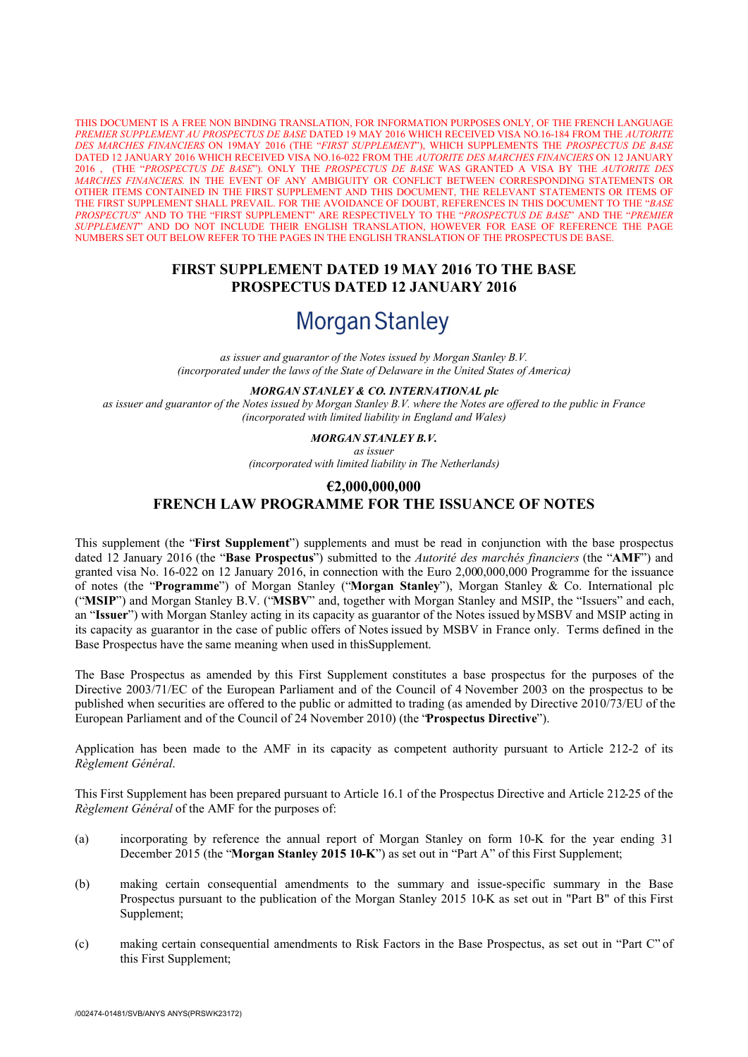THIS DOCUMENT IS A FREE NON BINDING TRANSLATION, FOR INFORMATION PURPOSES ONLY, OF THE FRENCH LANGUAGE *PREMIER SUPPLEMENT AU PROSPECTUS DE BASE* DATED 19 MAY 2016 WHICH RECEIVED VISA NO.16-184 FROM THE *AUTORITE DES MARCHES FINANCIERS* ON 19MAY 2016 (THE "*FIRST SUPPLEMENT*"), WHICH SUPPLEMENTS THE *PROSPECTUS DE BASE* DATED 12 JANUARY 2016 WHICH RECEIVED VISA NO.16-022 FROM THE *AUTORITE DES MARCHES FINANCIERS* ON 12 JANUARY 2016 , (THE "*PROSPECTUS DE BASE*"). ONLY THE *PROSPECTUS DE BASE* WAS GRANTED A VISA BY THE *AUTORITE DES MARCHES FINANCIERS*. IN THE EVENT OF ANY AMBIGUITY OR CONFLICT BETWEEN CORRESPONDING STATEMENTS OR OTHER ITEMS CONTAINED IN THE FIRST SUPPLEMENT AND THIS DOCUMENT, THE RELEVANT STATEMENTS OR ITEMS OF THE FIRST SUPPLEMENT SHALL PREVAIL. FOR THE AVOIDANCE OF DOUBT, REFERENCES IN THIS DOCUMENT TO THE "*BASE PROSPECTUS*" AND TO THE "FIRST SUPPLEMENT" ARE RESPECTIVELY TO THE "*PROSPECTUS DE BASE*" AND THE "*PREMIER SUPPLEMENT*" AND DO NOT INCLUDE THEIR ENGLISH TRANSLATION, HOWEVER FOR EASE OF REFERENCE THE PAGE NUMBERS SET OUT BELOW REFER TO THE PAGES IN THE ENGLISH TRANSLATION OF THE PROSPECTUS DE BASE.

# **FIRST SUPPLEMENT DATED 19 MAY 2016 TO THE BASE PROSPECTUS DATED 12 JANUARY 2016**

# **Morgan Stanley**

*as issuer and guarantor of the Notes issued by Morgan Stanley B.V. (incorporated under the laws of the State of Delaware in the United States of America)*

#### *MORGAN STANLEY & CO. INTERNATIONAL plc*

as issuer and guarantor of the Notes issued by Morgan Stanley B.V. where the Notes are offered to the public in France *(incorporated with limited liability in England and Wales)*

#### *MORGAN STANLEY B.V.*

*as issuer*

*(incorporated with limited liability in The Netherlands)*

# **€2,000,000,000 FRENCH LAW PROGRAMME FOR THE ISSUANCE OF NOTES**

This supplement (the "**First Supplement**") supplements and must be read in conjunction with the base prospectus dated 12 January 2016 (the "**Base Prospectus**") submitted to the *Autorité des marchés financiers* (the "**AMF**") and granted visa No. 16-022 on 12 January 2016, in connection with the Euro 2,000,000,000 Programme for the issuance of notes (the "**Programme**") of Morgan Stanley ("**Morgan Stanley**"), Morgan Stanley & Co. International plc ("**MSIP**") and Morgan Stanley B.V. ("**MSBV**" and, together with Morgan Stanley and MSIP, the "Issuers" and each, an "**Issuer**") with Morgan Stanley acting in its capacity as guarantor of the Notes issued by MSBV and MSIP acting in its capacity as guarantor in the case of public offers of Notes issued by MSBV in France only. Terms defined in the Base Prospectus have the same meaning when used in thisSupplement.

The Base Prospectus as amended by this First Supplement constitutes a base prospectus for the purposes of the Directive 2003/71/EC of the European Parliament and of the Council of 4 November 2003 on the prospectus to be published when securities are offered to the public or admitted to trading (as amended by Directive 2010/73/EU of the European Parliament and of the Council of 24 November 2010) (the "**Prospectus Directive**").

Application has been made to the AMF in its capacity as competent authority pursuant to Article 212-2 of its *Règlement Général*.

This First Supplement has been prepared pursuant to Article 16.1 of the Prospectus Directive and Article 212-25 of the *Règlement Général* of the AMF for the purposes of:

- (a) incorporating by reference the annual report of Morgan Stanley on form 10-K for the year ending 31 December 2015 (the "**Morgan Stanley 2015 10-K**") as set out in "Part A" of this First Supplement;
- (b) making certain consequential amendments to the summary and issue-specific summary in the Base Prospectus pursuant to the publication of the Morgan Stanley 2015 10-K as set out in "Part B" of this First Supplement;
- (c) making certain consequential amendments to Risk Factors in the Base Prospectus, as set out in "Part C" of this First Supplement;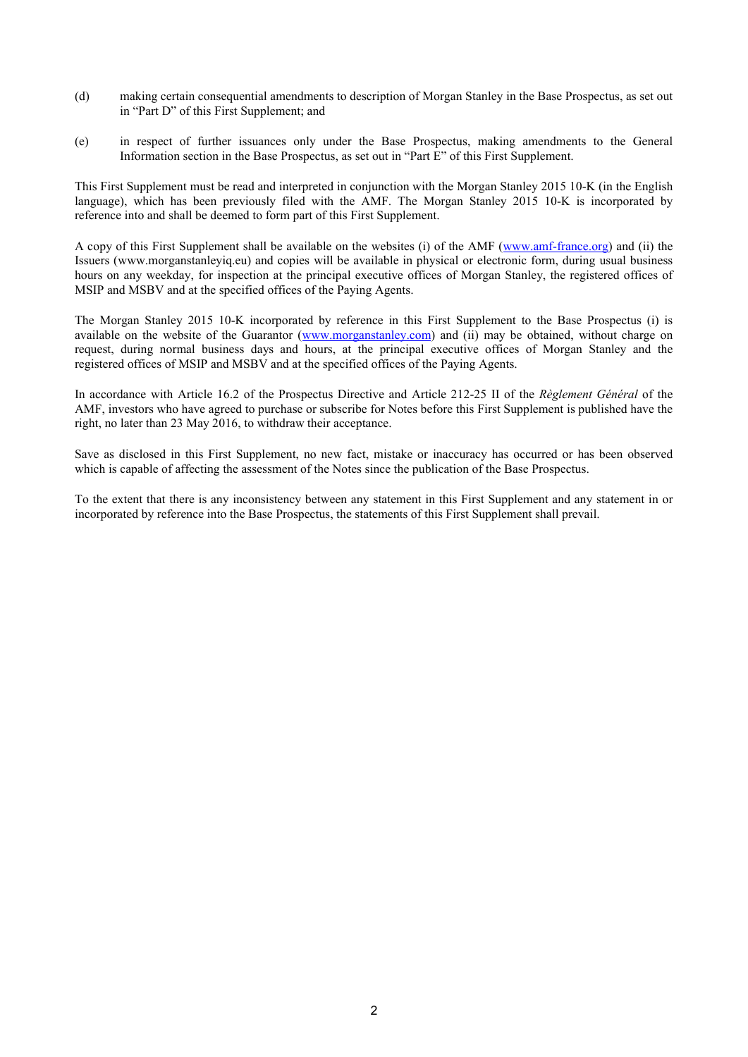- (d) making certain consequential amendments to description of Morgan Stanley in the Base Prospectus, as set out in "Part D" of this First Supplement; and
- (e) in respect of further issuances only under the Base Prospectus, making amendments to the General Information section in the Base Prospectus, as set out in "Part E" of this First Supplement.

This First Supplement must be read and interpreted in conjunction with the Morgan Stanley 2015 10-K (in the English language), which has been previously filed with the AMF. The Morgan Stanley 2015 10-K is incorporated by reference into and shall be deemed to form part of this First Supplement.

A copy of this First Supplement shall be available on the websites (i) of the AMF ([www.amf-france.org](http://www.amf-france.org/)) and (ii) the Issuers (www.morganstanleyiq.eu) and copies will be available in physical or electronic form, during usual business hours on any weekday, for inspection at the principal executive offices of Morgan Stanley, the registered offices of MSIP and MSBV and at the specified offices of the Paying Agents.

The Morgan Stanley 2015 10-K incorporated by reference in this First Supplement to the Base Prospectus (i) is available on the website of the Guarantor ([www.morganstanley.com](http://www.morganstanley.com/)) and (ii) may be obtained, without charge on request, during normal business days and hours, at the principal executive offices of Morgan Stanley and the registered offices of MSIP and MSBV and at the specified offices of the Paying Agents.

In accordance with Article 16.2 of the Prospectus Directive and Article 212-25 II of the *Règlement Général* of the AMF, investors who have agreed to purchase or subscribe for Notes before this First Supplement is published have the right, no later than 23 May 2016, to withdraw their acceptance.

Save as disclosed in this First Supplement, no new fact, mistake or inaccuracy has occurred or has been observed which is capable of affecting the assessment of the Notes since the publication of the Base Prospectus.

To the extent that there is any inconsistency between any statement in this First Supplement and any statement in or incorporated by reference into the Base Prospectus, the statements of this First Supplement shall prevail.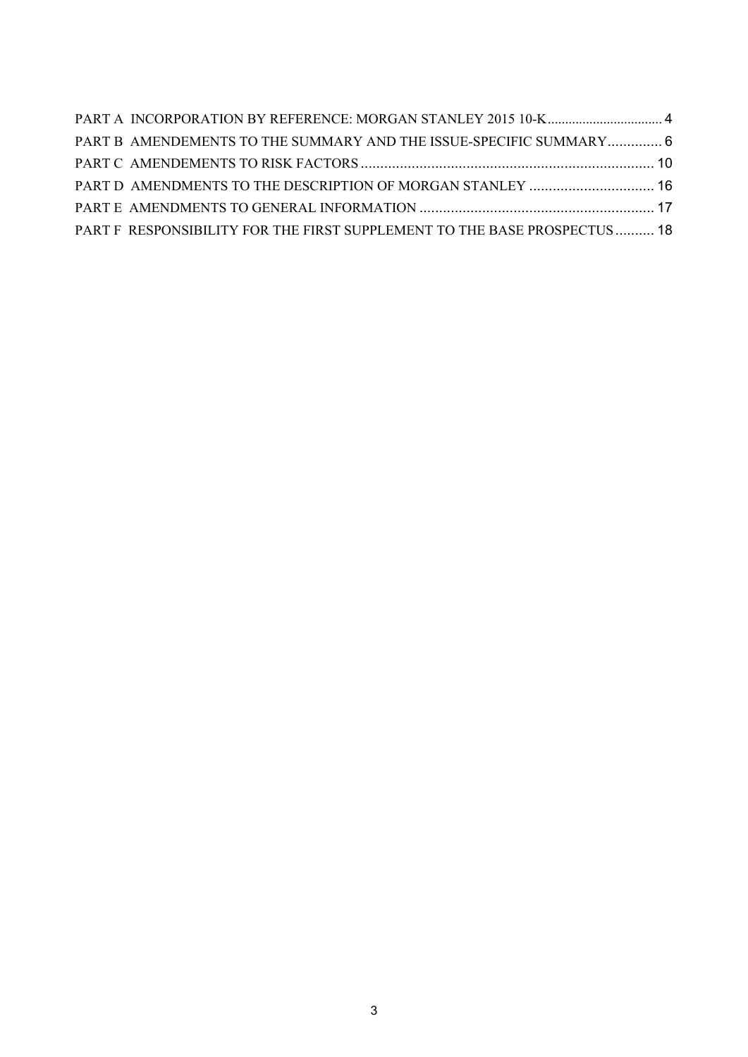| PART B AMENDEMENTS TO THE SUMMARY AND THE ISSUE-SPECIFIC SUMMARY 6        |  |
|---------------------------------------------------------------------------|--|
|                                                                           |  |
| PART D AMENDMENTS TO THE DESCRIPTION OF MORGAN STANLEY  16                |  |
|                                                                           |  |
| PART F RESPONSIBILITY FOR THE FIRST SUPPLEMENT TO THE BASE PROSPECTUS  18 |  |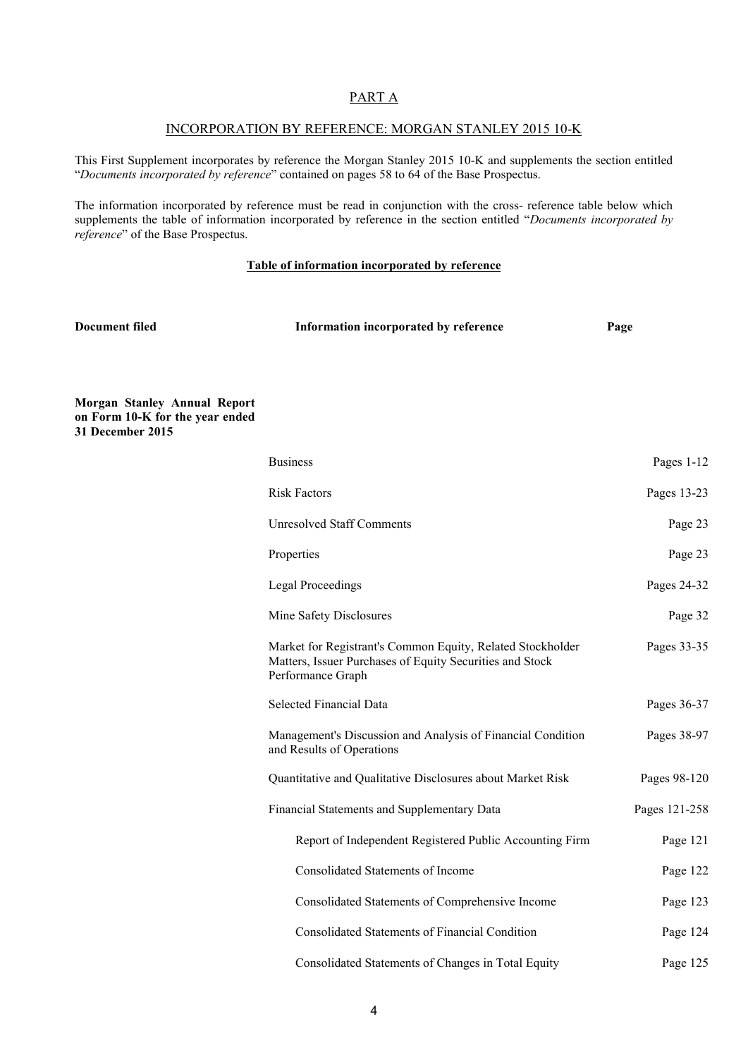# PART A

#### INCORPORATION BY REFERENCE: MORGAN STANLEY 2015 10-K

This First Supplement incorporates by reference the Morgan Stanley 2015 10-K and supplements the section entitled "*Documents incorporated by reference*" contained on pages 58 to 64 of the Base Prospectus.

The information incorporated by reference must be read in conjunction with the cross- reference table below which supplements the table of information incorporated by reference in the section entitled "*Documents incorporated by reference*" of the Base Prospectus.

#### **Table of information incorporated by reference**

| <b>Document filed</b>                                                                      | Information incorporated by reference                                                                                                       | Page          |
|--------------------------------------------------------------------------------------------|---------------------------------------------------------------------------------------------------------------------------------------------|---------------|
| <b>Morgan Stanley Annual Report</b><br>on Form 10-K for the year ended<br>31 December 2015 |                                                                                                                                             |               |
|                                                                                            | <b>Business</b>                                                                                                                             | Pages 1-12    |
|                                                                                            | <b>Risk Factors</b>                                                                                                                         | Pages 13-23   |
|                                                                                            | <b>Unresolved Staff Comments</b>                                                                                                            | Page 23       |
|                                                                                            | Properties                                                                                                                                  | Page 23       |
|                                                                                            | <b>Legal Proceedings</b>                                                                                                                    | Pages 24-32   |
|                                                                                            | Mine Safety Disclosures                                                                                                                     | Page 32       |
|                                                                                            | Market for Registrant's Common Equity, Related Stockholder<br>Matters, Issuer Purchases of Equity Securities and Stock<br>Performance Graph | Pages 33-35   |
|                                                                                            | <b>Selected Financial Data</b>                                                                                                              | Pages 36-37   |
|                                                                                            | Management's Discussion and Analysis of Financial Condition<br>and Results of Operations                                                    | Pages 38-97   |
|                                                                                            | Quantitative and Qualitative Disclosures about Market Risk                                                                                  | Pages 98-120  |
|                                                                                            | Financial Statements and Supplementary Data                                                                                                 | Pages 121-258 |
|                                                                                            | Report of Independent Registered Public Accounting Firm                                                                                     | Page 121      |
|                                                                                            | <b>Consolidated Statements of Income</b>                                                                                                    | Page 122      |
|                                                                                            | Consolidated Statements of Comprehensive Income                                                                                             | Page 123      |
|                                                                                            | Consolidated Statements of Financial Condition                                                                                              | Page 124      |
|                                                                                            | Consolidated Statements of Changes in Total Equity                                                                                          | Page 125      |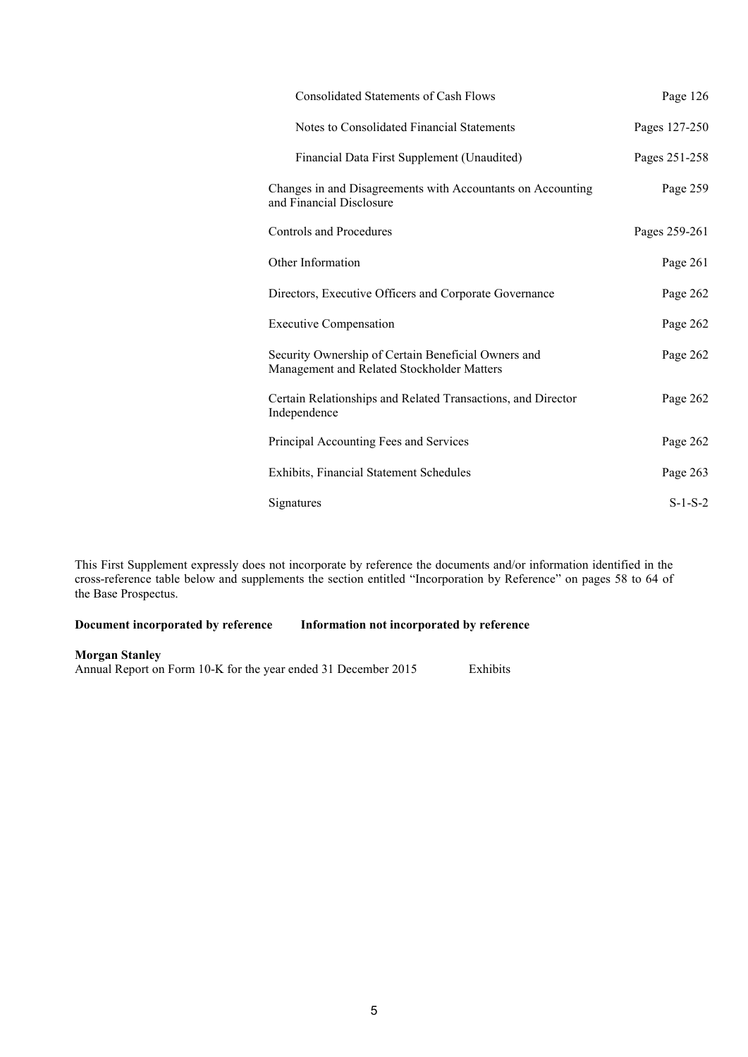| <b>Consolidated Statements of Cash Flows</b>                                                      | Page 126      |
|---------------------------------------------------------------------------------------------------|---------------|
| Notes to Consolidated Financial Statements                                                        | Pages 127-250 |
| Financial Data First Supplement (Unaudited)                                                       | Pages 251-258 |
| Changes in and Disagreements with Accountants on Accounting<br>and Financial Disclosure           | Page 259      |
| Controls and Procedures                                                                           | Pages 259-261 |
| Other Information                                                                                 | Page 261      |
| Directors, Executive Officers and Corporate Governance                                            | Page 262      |
| <b>Executive Compensation</b>                                                                     | Page 262      |
| Security Ownership of Certain Beneficial Owners and<br>Management and Related Stockholder Matters | Page 262      |
| Certain Relationships and Related Transactions, and Director<br>Independence                      | Page 262      |
| Principal Accounting Fees and Services                                                            | Page 262      |
| Exhibits, Financial Statement Schedules                                                           | Page 263      |
| Signatures                                                                                        | $S-1-S-2$     |

This First Supplement expressly does not incorporate by reference the documents and/or information identified in the cross-reference table below and supplements the section entitled "Incorporation by Reference" on pages 58 to 64 of the Base Prospectus.

**Document incorporated by reference Information not incorporated by reference**

#### **Morgan Stanley**

Annual Report on Form 10-K for the year ended 31 December 2015 Exhibits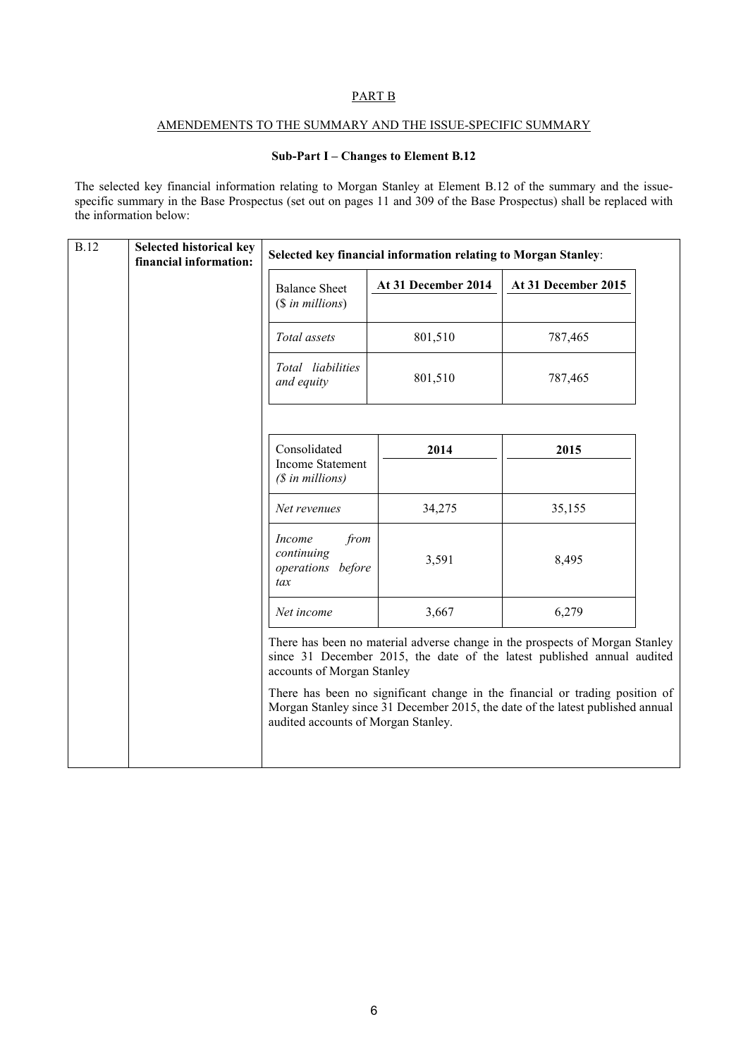## <span id="page-5-0"></span>PART B

#### AMENDEMENTS TO THE SUMMARY AND THE ISSUE-SPECIFIC SUMMARY

## **Sub-Part I – Changes to Element B.12**

The selected key financial information relating to Morgan Stanley at Element B.12 of the summary and the issuespecific summary in the Base Prospectus (set out on pages 11 and 309 of the Base Prospectus) shall be replaced with the information below:

| Selected key financial information relating to Morgan Stanley:                                                                                                                                                                                                                                                            |  |  |
|---------------------------------------------------------------------------------------------------------------------------------------------------------------------------------------------------------------------------------------------------------------------------------------------------------------------------|--|--|
| At 31 December 2015                                                                                                                                                                                                                                                                                                       |  |  |
|                                                                                                                                                                                                                                                                                                                           |  |  |
|                                                                                                                                                                                                                                                                                                                           |  |  |
|                                                                                                                                                                                                                                                                                                                           |  |  |
|                                                                                                                                                                                                                                                                                                                           |  |  |
|                                                                                                                                                                                                                                                                                                                           |  |  |
|                                                                                                                                                                                                                                                                                                                           |  |  |
|                                                                                                                                                                                                                                                                                                                           |  |  |
|                                                                                                                                                                                                                                                                                                                           |  |  |
| There has been no material adverse change in the prospects of Morgan Stanley<br>since 31 December 2015, the date of the latest published annual audited<br>There has been no significant change in the financial or trading position of<br>Morgan Stanley since 31 December 2015, the date of the latest published annual |  |  |
|                                                                                                                                                                                                                                                                                                                           |  |  |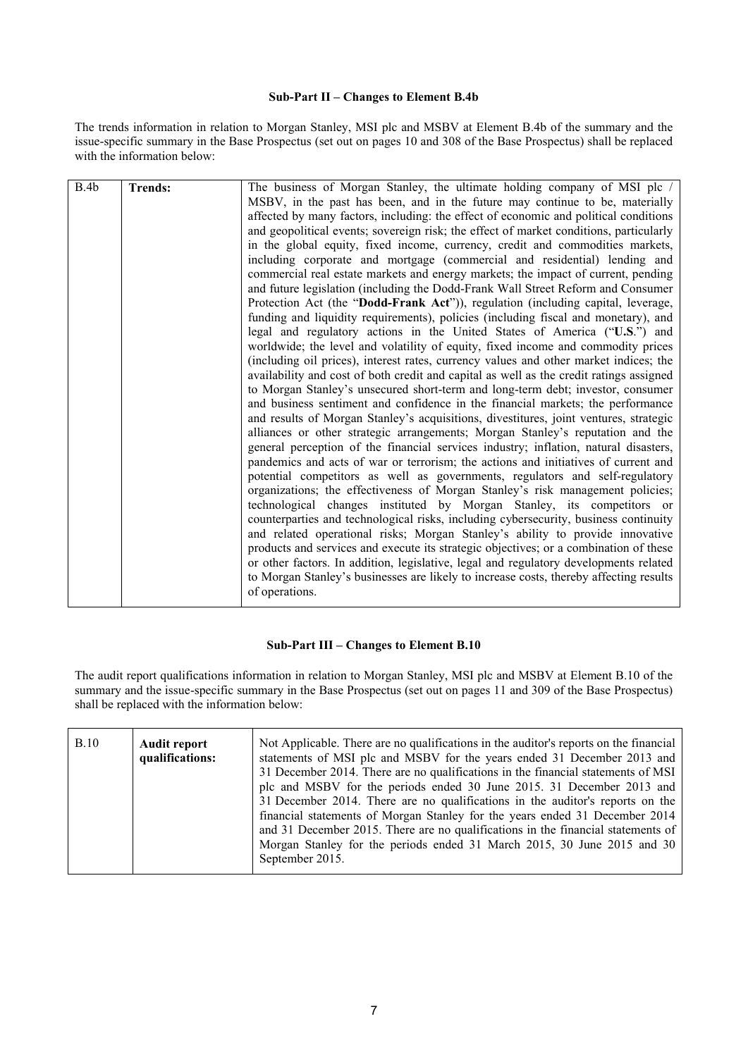#### **Sub-Part II – Changes to Element B.4b**

The trends information in relation to Morgan Stanley, MSI plc and MSBV at Element B.4b of the summary and the issue-specific summary in the Base Prospectus (set out on pages 10 and 308 of the Base Prospectus) shall be replaced with the information below:

| B.4b | <b>Trends:</b> |                                                                                         |
|------|----------------|-----------------------------------------------------------------------------------------|
|      |                | The business of Morgan Stanley, the ultimate holding company of MSI plc /               |
|      |                | MSBV, in the past has been, and in the future may continue to be, materially            |
|      |                | affected by many factors, including: the effect of economic and political conditions    |
|      |                | and geopolitical events; sovereign risk; the effect of market conditions, particularly  |
|      |                | in the global equity, fixed income, currency, credit and commodities markets,           |
|      |                | including corporate and mortgage (commercial and residential) lending and               |
|      |                | commercial real estate markets and energy markets; the impact of current, pending       |
|      |                | and future legislation (including the Dodd-Frank Wall Street Reform and Consumer        |
|      |                | Protection Act (the "Dodd-Frank Act")), regulation (including capital, leverage,        |
|      |                | funding and liquidity requirements), policies (including fiscal and monetary), and      |
|      |                | legal and regulatory actions in the United States of America ("U.S.") and               |
|      |                | worldwide; the level and volatility of equity, fixed income and commodity prices        |
|      |                | (including oil prices), interest rates, currency values and other market indices; the   |
|      |                | availability and cost of both credit and capital as well as the credit ratings assigned |
|      |                | to Morgan Stanley's unsecured short-term and long-term debt; investor, consumer         |
|      |                | and business sentiment and confidence in the financial markets; the performance         |
|      |                | and results of Morgan Stanley's acquisitions, divestitures, joint ventures, strategic   |
|      |                | alliances or other strategic arrangements; Morgan Stanley's reputation and the          |
|      |                | general perception of the financial services industry; inflation, natural disasters,    |
|      |                | pandemics and acts of war or terrorism; the actions and initiatives of current and      |
|      |                | potential competitors as well as governments, regulators and self-regulatory            |
|      |                | organizations; the effectiveness of Morgan Stanley's risk management policies;          |
|      |                | technological changes instituted by Morgan Stanley, its competitors or                  |
|      |                |                                                                                         |
|      |                | counterparties and technological risks, including cybersecurity, business continuity    |
|      |                | and related operational risks; Morgan Stanley's ability to provide innovative           |
|      |                | products and services and execute its strategic objectives; or a combination of these   |
|      |                | or other factors. In addition, legislative, legal and regulatory developments related   |
|      |                | to Morgan Stanley's businesses are likely to increase costs, thereby affecting results  |
|      |                | of operations.                                                                          |
|      |                |                                                                                         |

#### **Sub-Part III – Changes to Element B.10**

The audit report qualifications information in relation to Morgan Stanley, MSI plc and MSBV at Element B.10 of the summary and the issue-specific summary in the Base Prospectus (set out on pages 11 and 309 of the Base Prospectus) shall be replaced with the information below:

| plc and MSBV for the periods ended 30 June 2015. 31 December 2013 and<br>31 December 2014. There are no qualifications in the auditor's reports on the<br>financial statements of Morgan Stanley for the years ended 31 December 2014<br>and 31 December 2015. There are no qualifications in the financial statements of<br>Morgan Stanley for the periods ended 31 March 2015, 30 June 2015 and 30<br>September 2015. |
|-------------------------------------------------------------------------------------------------------------------------------------------------------------------------------------------------------------------------------------------------------------------------------------------------------------------------------------------------------------------------------------------------------------------------|
|-------------------------------------------------------------------------------------------------------------------------------------------------------------------------------------------------------------------------------------------------------------------------------------------------------------------------------------------------------------------------------------------------------------------------|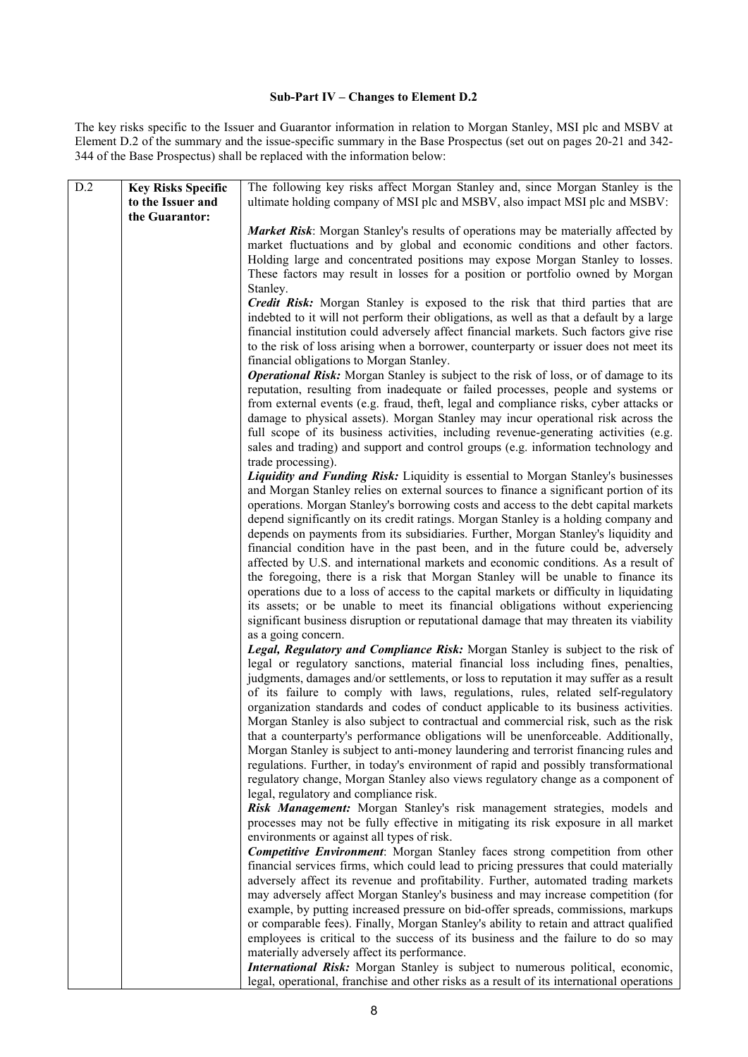#### **Sub-Part IV – Changes to Element D.2**

The key risks specific to the Issuer and Guarantor information in relation to Morgan Stanley, MSI plc and MSBV at Element D.2 of the summary and the issue-specific summary in the Base Prospectus (set out on pages 20-21 and 342- 344 of the Base Prospectus) shall be replaced with the information below:

| D.2 | <b>Key Risks Specific</b> | The following key risks affect Morgan Stanley and, since Morgan Stanley is the            |  |
|-----|---------------------------|-------------------------------------------------------------------------------------------|--|
|     | to the Issuer and         | ultimate holding company of MSI plc and MSBV, also impact MSI plc and MSBV:               |  |
|     | the Guarantor:            |                                                                                           |  |
|     |                           | Market Risk: Morgan Stanley's results of operations may be materially affected by         |  |
|     |                           | market fluctuations and by global and economic conditions and other factors.              |  |
|     |                           | Holding large and concentrated positions may expose Morgan Stanley to losses.             |  |
|     |                           | These factors may result in losses for a position or portfolio owned by Morgan            |  |
|     |                           | Stanley.                                                                                  |  |
|     |                           | <b>Credit Risk:</b> Morgan Stanley is exposed to the risk that third parties that are     |  |
|     |                           | indebted to it will not perform their obligations, as well as that a default by a large   |  |
|     |                           | financial institution could adversely affect financial markets. Such factors give rise    |  |
|     |                           | to the risk of loss arising when a borrower, counterparty or issuer does not meet its     |  |
|     |                           | financial obligations to Morgan Stanley.                                                  |  |
|     |                           |                                                                                           |  |
|     |                           | Operational Risk: Morgan Stanley is subject to the risk of loss, or of damage to its      |  |
|     |                           | reputation, resulting from inadequate or failed processes, people and systems or          |  |
|     |                           | from external events (e.g. fraud, theft, legal and compliance risks, cyber attacks or     |  |
|     |                           | damage to physical assets). Morgan Stanley may incur operational risk across the          |  |
|     |                           | full scope of its business activities, including revenue-generating activities (e.g.      |  |
|     |                           | sales and trading) and support and control groups (e.g. information technology and        |  |
|     |                           | trade processing).                                                                        |  |
|     |                           | <b>Liquidity and Funding Risk:</b> Liquidity is essential to Morgan Stanley's businesses  |  |
|     |                           | and Morgan Stanley relies on external sources to finance a significant portion of its     |  |
|     |                           | operations. Morgan Stanley's borrowing costs and access to the debt capital markets       |  |
|     |                           | depend significantly on its credit ratings. Morgan Stanley is a holding company and       |  |
|     |                           | depends on payments from its subsidiaries. Further, Morgan Stanley's liquidity and        |  |
|     |                           | financial condition have in the past been, and in the future could be, adversely          |  |
|     |                           | affected by U.S. and international markets and economic conditions. As a result of        |  |
|     |                           | the foregoing, there is a risk that Morgan Stanley will be unable to finance its          |  |
|     |                           | operations due to a loss of access to the capital markets or difficulty in liquidating    |  |
|     |                           | its assets; or be unable to meet its financial obligations without experiencing           |  |
|     |                           | significant business disruption or reputational damage that may threaten its viability    |  |
|     |                           | as a going concern.                                                                       |  |
|     |                           | Legal, Regulatory and Compliance Risk: Morgan Stanley is subject to the risk of           |  |
|     |                           | legal or regulatory sanctions, material financial loss including fines, penalties,        |  |
|     |                           | judgments, damages and/or settlements, or loss to reputation it may suffer as a result    |  |
|     |                           | of its failure to comply with laws, regulations, rules, related self-regulatory           |  |
|     |                           | organization standards and codes of conduct applicable to its business activities.        |  |
|     |                           | Morgan Stanley is also subject to contractual and commercial risk, such as the risk       |  |
|     |                           | that a counterparty's performance obligations will be unenforceable. Additionally,        |  |
|     |                           | Morgan Stanley is subject to anti-money laundering and terrorist financing rules and      |  |
|     |                           | regulations. Further, in today's environment of rapid and possibly transformational       |  |
|     |                           | regulatory change, Morgan Stanley also views regulatory change as a component of          |  |
|     |                           | legal, regulatory and compliance risk.                                                    |  |
|     |                           | Risk Management: Morgan Stanley's risk management strategies, models and                  |  |
|     |                           | processes may not be fully effective in mitigating its risk exposure in all market        |  |
|     |                           | environments or against all types of risk.                                                |  |
|     |                           | <b>Competitive Environment:</b> Morgan Stanley faces strong competition from other        |  |
|     |                           | financial services firms, which could lead to pricing pressures that could materially     |  |
|     |                           | adversely affect its revenue and profitability. Further, automated trading markets        |  |
|     |                           | may adversely affect Morgan Stanley's business and may increase competition (for          |  |
|     |                           | example, by putting increased pressure on bid-offer spreads, commissions, markups         |  |
|     |                           | or comparable fees). Finally, Morgan Stanley's ability to retain and attract qualified    |  |
|     |                           | employees is critical to the success of its business and the failure to do so may         |  |
|     |                           | materially adversely affect its performance.                                              |  |
|     |                           | International Risk: Morgan Stanley is subject to numerous political, economic,            |  |
|     |                           | legal, operational, franchise and other risks as a result of its international operations |  |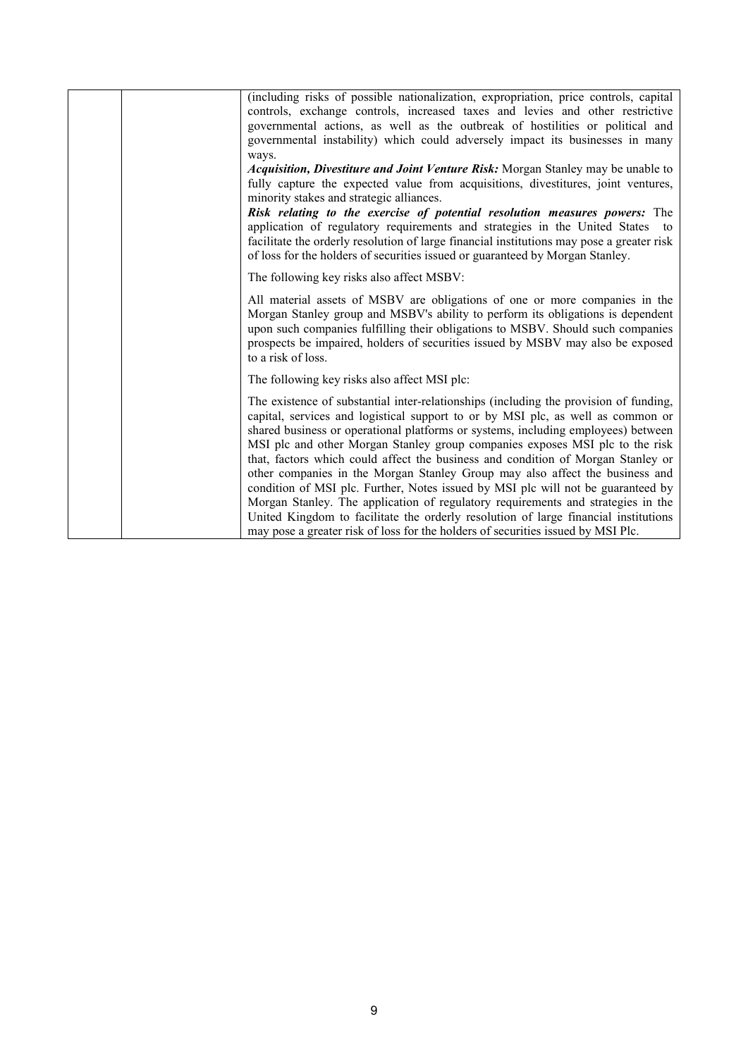|  | (including risks of possible nationalization, expropriation, price controls, capital<br>controls, exchange controls, increased taxes and levies and other restrictive<br>governmental actions, as well as the outbreak of hostilities or political and<br>governmental instability) which could adversely impact its businesses in many<br>ways.<br><i>Acquisition, Divestiture and Joint Venture Risk:</i> Morgan Stanley may be unable to<br>fully capture the expected value from acquisitions, divestitures, joint ventures,<br>minority stakes and strategic alliances.<br>Risk relating to the exercise of potential resolution measures powers: The<br>application of regulatory requirements and strategies in the United States to<br>facilitate the orderly resolution of large financial institutions may pose a greater risk |
|--|------------------------------------------------------------------------------------------------------------------------------------------------------------------------------------------------------------------------------------------------------------------------------------------------------------------------------------------------------------------------------------------------------------------------------------------------------------------------------------------------------------------------------------------------------------------------------------------------------------------------------------------------------------------------------------------------------------------------------------------------------------------------------------------------------------------------------------------|
|  | of loss for the holders of securities issued or guaranteed by Morgan Stanley.                                                                                                                                                                                                                                                                                                                                                                                                                                                                                                                                                                                                                                                                                                                                                            |
|  | The following key risks also affect MSBV:                                                                                                                                                                                                                                                                                                                                                                                                                                                                                                                                                                                                                                                                                                                                                                                                |
|  | All material assets of MSBV are obligations of one or more companies in the<br>Morgan Stanley group and MSBV's ability to perform its obligations is dependent<br>upon such companies fulfilling their obligations to MSBV. Should such companies<br>prospects be impaired, holders of securities issued by MSBV may also be exposed<br>to a risk of loss.                                                                                                                                                                                                                                                                                                                                                                                                                                                                               |
|  | The following key risks also affect MSI plc:                                                                                                                                                                                                                                                                                                                                                                                                                                                                                                                                                                                                                                                                                                                                                                                             |
|  | The existence of substantial inter-relationships (including the provision of funding,<br>capital, services and logistical support to or by MSI plc, as well as common or<br>shared business or operational platforms or systems, including employees) between<br>MSI plc and other Morgan Stanley group companies exposes MSI plc to the risk<br>that, factors which could affect the business and condition of Morgan Stanley or<br>other companies in the Morgan Stanley Group may also affect the business and<br>condition of MSI plc. Further, Notes issued by MSI plc will not be guaranteed by<br>Morgan Stanley. The application of regulatory requirements and strategies in the<br>United Kingdom to facilitate the orderly resolution of large financial institutions                                                         |
|  | may pose a greater risk of loss for the holders of securities issued by MSI Plc.                                                                                                                                                                                                                                                                                                                                                                                                                                                                                                                                                                                                                                                                                                                                                         |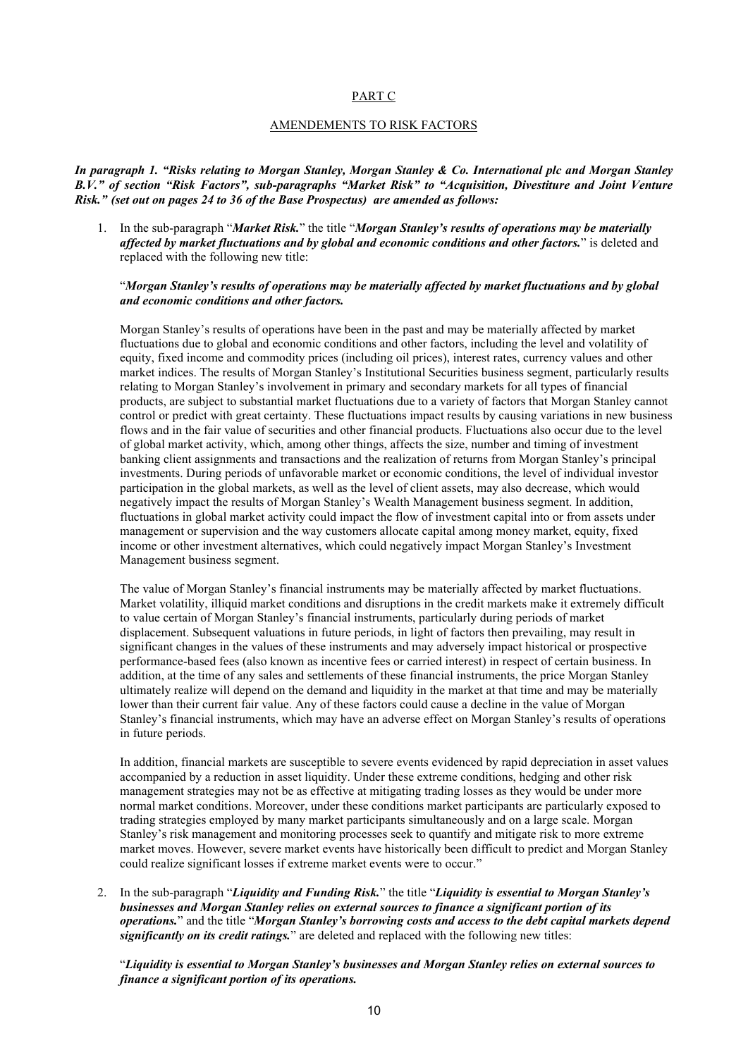#### <span id="page-9-0"></span>PART C

#### AMENDEMENTS TO RISK FACTORS

*In paragraph 1. "Risks relating to Morgan Stanley, Morgan Stanley & Co. International plc and Morgan Stanley B.V." of section "Risk Factors", sub-paragraphs "Market Risk" to "Acquisition, Divestiture and Joint Venture Risk." (set out on pages 24 to 36 of the Base Prospectus) are amended as follows:*

1. In the sub-paragraph "*Market Risk.*" the title "*Morgan Stanley's results of operations may be materially affected by market fluctuations and by global and economic conditions and other factors.*" is deleted and replaced with the following new title:

#### "*Morgan Stanley's results of operations may be materially affected by market fluctuations and by global and economic conditions and other factors.*

Morgan Stanley's results of operations have been in the past and may be materially affected by market fluctuations due to global and economic conditions and other factors, including the level and volatility of equity, fixed income and commodity prices (including oil prices), interest rates, currency values and other market indices. The results of Morgan Stanley's Institutional Securities business segment, particularly results relating to Morgan Stanley's involvement in primary and secondary markets for all types of financial products, are subject to substantial market fluctuations due to a variety of factors that Morgan Stanley cannot control or predict with great certainty. These fluctuations impact results by causing variations in new business flows and in the fair value of securities and other financial products. Fluctuations also occur due to the level of global market activity, which, among other things, affects the size, number and timing of investment banking client assignments and transactions and the realization of returns from Morgan Stanley's principal investments. During periods of unfavorable market or economic conditions, the level of individual investor participation in the global markets, as well as the level of client assets, may also decrease, which would negatively impact the results of Morgan Stanley's Wealth Management business segment. In addition, fluctuations in global market activity could impact the flow of investment capital into or from assets under management or supervision and the way customers allocate capital among money market, equity, fixed income or other investment alternatives, which could negatively impact Morgan Stanley's Investment Management business segment.

The value of Morgan Stanley's financial instruments may be materially affected by market fluctuations. Market volatility, illiquid market conditions and disruptions in the credit markets make it extremely difficult to value certain of Morgan Stanley's financial instruments, particularly during periods of market displacement. Subsequent valuations in future periods, in light of factors then prevailing, may result in significant changes in the values of these instruments and may adversely impact historical or prospective performance-based fees (also known as incentive fees or carried interest) in respect of certain business. In addition, at the time of any sales and settlements of these financial instruments, the price Morgan Stanley ultimately realize will depend on the demand and liquidity in the market at that time and may be materially lower than their current fair value. Any of these factors could cause a decline in the value of Morgan Stanley's financial instruments, which may have an adverse effect on Morgan Stanley's results of operations in future periods.

In addition, financial markets are susceptible to severe events evidenced by rapid depreciation in asset values accompanied by a reduction in asset liquidity. Under these extreme conditions, hedging and other risk management strategies may not be as effective at mitigating trading losses as they would be under more normal market conditions. Moreover, under these conditions market participants are particularly exposed to trading strategies employed by many market participants simultaneously and on a large scale. Morgan Stanley's risk management and monitoring processes seek to quantify and mitigate risk to more extreme market moves. However, severe market events have historically been difficult to predict and Morgan Stanley could realize significant losses if extreme market events were to occur."

2. In the sub-paragraph "*Liquidity and Funding Risk.*" the title "*Liquidity is essential to Morgan Stanley's businesses and Morgan Stanley relies on external sources to finance a significant portion of its operations.*" and the title "*Morgan Stanley's borrowing costs and access to the debt capital markets depend significantly on its credit ratings.*" are deleted and replaced with the following new titles:

"*Liquidity is essential to Morgan Stanley's businesses and Morgan Stanley relies on external sources to finance a significant portion of its operations.*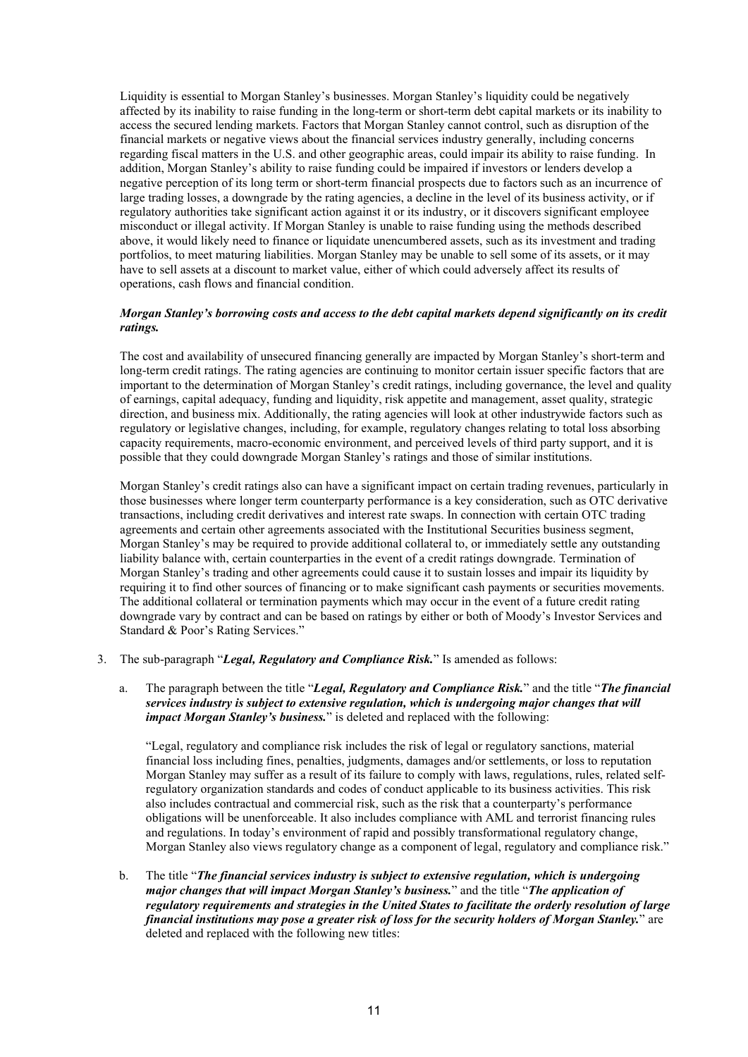Liquidity is essential to Morgan Stanley's businesses. Morgan Stanley's liquidity could be negatively affected by its inability to raise funding in the long-term or short-term debt capital markets or its inability to access the secured lending markets. Factors that Morgan Stanley cannot control, such as disruption of the financial markets or negative views about the financial services industry generally, including concerns regarding fiscal matters in the U.S. and other geographic areas, could impair its ability to raise funding. In addition, Morgan Stanley's ability to raise funding could be impaired if investors or lenders develop a negative perception of its long term or short-term financial prospects due to factors such as an incurrence of large trading losses, a downgrade by the rating agencies, a decline in the level of its business activity, or if regulatory authorities take significant action against it or its industry, or it discovers significant employee misconduct or illegal activity. If Morgan Stanley is unable to raise funding using the methods described above, it would likely need to finance or liquidate unencumbered assets, such as its investment and trading portfolios, to meet maturing liabilities. Morgan Stanley may be unable to sell some of its assets, or it may have to sell assets at a discount to market value, either of which could adversely affect its results of operations, cash flows and financial condition.

#### *Morgan Stanley's borrowing costs and access to the debt capital markets depend significantly on its credit ratings.*

The cost and availability of unsecured financing generally are impacted by Morgan Stanley's short-term and long-term credit ratings. The rating agencies are continuing to monitor certain issuer specific factors that are important to the determination of Morgan Stanley's credit ratings, including governance, the level and quality of earnings, capital adequacy, funding and liquidity, risk appetite and management, asset quality, strategic direction, and business mix. Additionally, the rating agencies will look at other industrywide factors such as regulatory or legislative changes, including, for example, regulatory changes relating to total loss absorbing capacity requirements, macro-economic environment, and perceived levels of third party support, and it is possible that they could downgrade Morgan Stanley's ratings and those of similar institutions.

Morgan Stanley's credit ratings also can have a significant impact on certain trading revenues, particularly in those businesses where longer term counterparty performance is a key consideration, such as OTC derivative transactions, including credit derivatives and interest rate swaps. In connection with certain OTC trading agreements and certain other agreements associated with the Institutional Securities business segment, Morgan Stanley's may be required to provide additional collateral to, or immediately settle any outstanding liability balance with, certain counterparties in the event of a credit ratings downgrade. Termination of Morgan Stanley's trading and other agreements could cause it to sustain losses and impair its liquidity by requiring it to find other sources of financing or to make significant cash payments or securities movements. The additional collateral or termination payments which may occur in the event of a future credit rating downgrade vary by contract and can be based on ratings by either or both of Moody's Investor Services and Standard & Poor's Rating Services."

- 3. The sub-paragraph "*Legal, Regulatory and Compliance Risk.*" Is amended as follows:
	- a. The paragraph between the title "*Legal, Regulatory and Compliance Risk.*" and the title "*The financial services industry is subject to extensive regulation, which is undergoing major changes that will impact Morgan Stanley's business.*" is deleted and replaced with the following:

"Legal, regulatory and compliance risk includes the risk of legal or regulatory sanctions, material financial loss including fines, penalties, judgments, damages and/or settlements, or loss to reputation Morgan Stanley may suffer as a result of its failure to comply with laws, regulations, rules, related selfregulatory organization standards and codes of conduct applicable to its business activities. This risk also includes contractual and commercial risk, such as the risk that a counterparty's performance obligations will be unenforceable. It also includes compliance with AML and terrorist financing rules and regulations. In today's environment of rapid and possibly transformational regulatory change, Morgan Stanley also views regulatory change as a component of legal, regulatory and compliance risk."

b. The title "*The financial services industry is subject to extensive regulation, which is undergoing major changes that will impact Morgan Stanley's business.*" and the title "*The application of regulatory requirements and strategies in the United States to facilitate the orderly resolution of large financial institutions may pose a greater risk of loss for the security holders of Morgan Stanley.*" are deleted and replaced with the following new titles: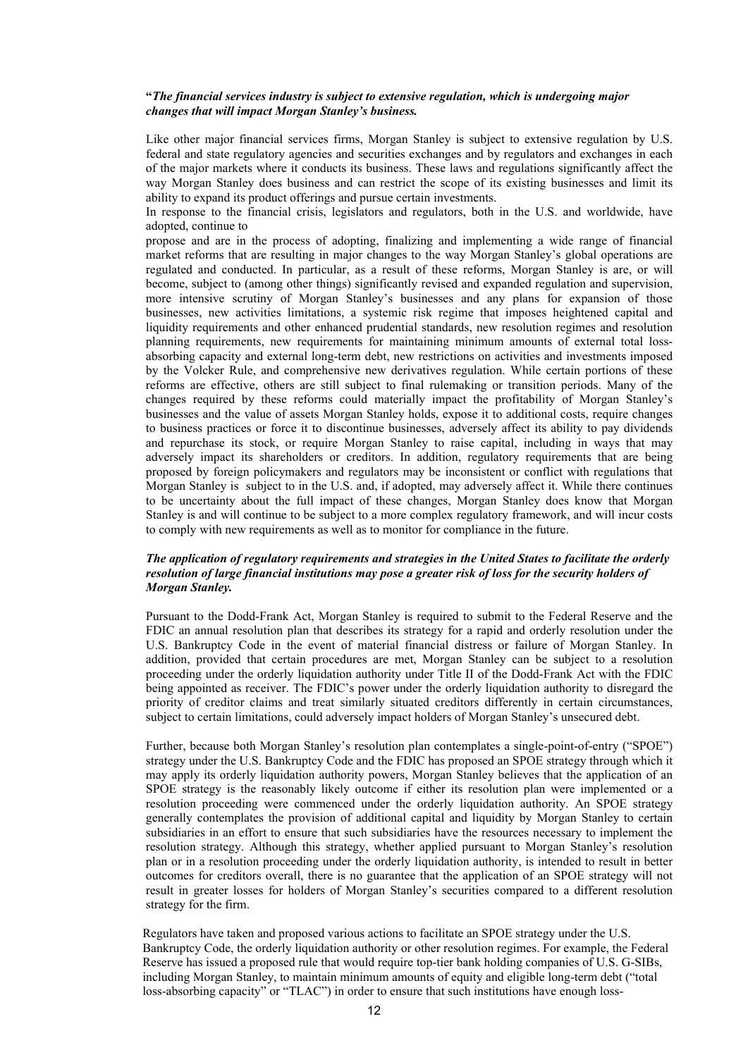#### **"***The financial services industry is subject to extensive regulation, which is undergoing major changes that will impact Morgan Stanley's business.*

Like other major financial services firms, Morgan Stanley is subject to extensive regulation by U.S. federal and state regulatory agencies and securities exchanges and by regulators and exchanges in each of the major markets where it conducts its business. These laws and regulations significantly affect the way Morgan Stanley does business and can restrict the scope of its existing businesses and limit its ability to expand its product offerings and pursue certain investments.

In response to the financial crisis, legislators and regulators, both in the U.S. and worldwide, have adopted, continue to

propose and are in the process of adopting, finalizing and implementing a wide range of financial market reforms that are resulting in major changes to the way Morgan Stanley's global operations are regulated and conducted. In particular, as a result of these reforms, Morgan Stanley is are, or will become, subject to (among other things) significantly revised and expanded regulation and supervision, more intensive scrutiny of Morgan Stanley's businesses and any plans for expansion of those businesses, new activities limitations, a systemic risk regime that imposes heightened capital and liquidity requirements and other enhanced prudential standards, new resolution regimes and resolution planning requirements, new requirements for maintaining minimum amounts of external total lossabsorbing capacity and external long-term debt, new restrictions on activities and investments imposed by the Volcker Rule, and comprehensive new derivatives regulation. While certain portions of these reforms are effective, others are still subject to final rulemaking or transition periods. Many of the changes required by these reforms could materially impact the profitability of Morgan Stanley's businesses and the value of assets Morgan Stanley holds, expose it to additional costs, require changes to business practices or force it to discontinue businesses, adversely affect its ability to pay dividends and repurchase its stock, or require Morgan Stanley to raise capital, including in ways that may adversely impact its shareholders or creditors. In addition, regulatory requirements that are being proposed by foreign policymakers and regulators may be inconsistent or conflict with regulations that Morgan Stanley is subject to in the U.S. and, if adopted, may adversely affect it. While there continues to be uncertainty about the full impact of these changes, Morgan Stanley does know that Morgan Stanley is and will continue to be subject to a more complex regulatory framework, and will incur costs to comply with new requirements as well as to monitor for compliance in the future.

#### *The application of regulatory requirements and strategies in the United States to facilitate the orderly resolution of large financial institutions may pose a greater risk of loss for the security holders of Morgan Stanley.*

Pursuant to the Dodd-Frank Act, Morgan Stanley is required to submit to the Federal Reserve and the FDIC an annual resolution plan that describes its strategy for a rapid and orderly resolution under the U.S. Bankruptcy Code in the event of material financial distress or failure of Morgan Stanley. In addition, provided that certain procedures are met, Morgan Stanley can be subject to a resolution proceeding under the orderly liquidation authority under Title II of the Dodd-Frank Act with the FDIC being appointed as receiver. The FDIC's power under the orderly liquidation authority to disregard the priority of creditor claims and treat similarly situated creditors differently in certain circumstances, subject to certain limitations, could adversely impact holders of Morgan Stanley's unsecured debt.

Further, because both Morgan Stanley's resolution plan contemplates a single-point-of-entry ("SPOE") strategy under the U.S. Bankruptcy Code and the FDIC has proposed an SPOE strategy through which it may apply its orderly liquidation authority powers, Morgan Stanley believes that the application of an SPOE strategy is the reasonably likely outcome if either its resolution plan were implemented or a resolution proceeding were commenced under the orderly liquidation authority. An SPOE strategy generally contemplates the provision of additional capital and liquidity by Morgan Stanley to certain subsidiaries in an effort to ensure that such subsidiaries have the resources necessary to implement the resolution strategy. Although this strategy, whether applied pursuant to Morgan Stanley's resolution plan or in a resolution proceeding under the orderly liquidation authority, is intended to result in better outcomes for creditors overall, there is no guarantee that the application of an SPOE strategy will not result in greater losses for holders of Morgan Stanley's securities compared to a different resolution strategy for the firm.

Regulators have taken and proposed various actions to facilitate an SPOE strategy under the U.S. Bankruptcy Code, the orderly liquidation authority or other resolution regimes. For example, the Federal Reserve has issued a proposed rule that would require top-tier bank holding companies of U.S. G-SIBs, including Morgan Stanley, to maintain minimum amounts of equity and eligible long-term debt ("total loss-absorbing capacity" or "TLAC") in order to ensure that such institutions have enough loss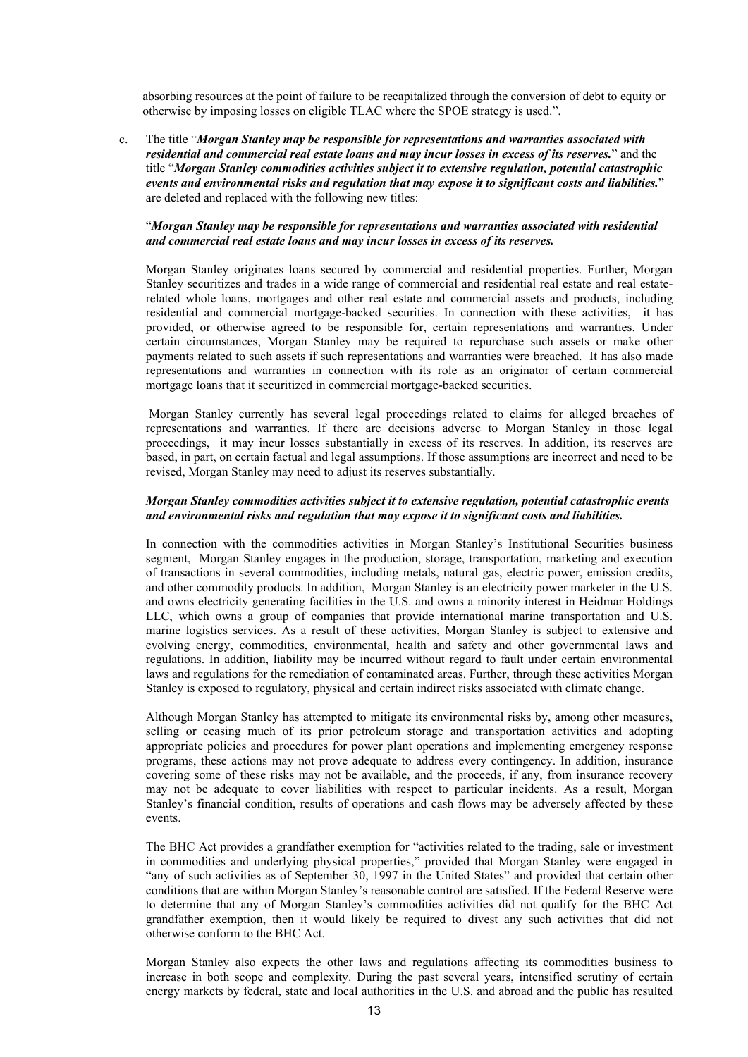absorbing resources at the point of failure to be recapitalized through the conversion of debt to equity or otherwise by imposing losses on eligible TLAC where the SPOE strategy is used.".

c. The title "*Morgan Stanley may be responsible for representations and warranties associated with residential and commercial real estate loans and may incur losses in excess of its reserves.*" and the title "*Morgan Stanley commodities activities subject it to extensive regulation, potential catastrophic events and environmental risks and regulation that may expose it to significant costs and liabilities.*" are deleted and replaced with the following new titles:

#### "*Morgan Stanley may be responsible for representations and warranties associated with residential and commercial real estate loans and may incur losses in excess of its reserves.*

Morgan Stanley originates loans secured by commercial and residential properties. Further, Morgan Stanley securitizes and trades in a wide range of commercial and residential real estate and real estaterelated whole loans, mortgages and other real estate and commercial assets and products, including residential and commercial mortgage-backed securities. In connection with these activities, it has provided, or otherwise agreed to be responsible for, certain representations and warranties. Under certain circumstances, Morgan Stanley may be required to repurchase such assets or make other payments related to such assets if such representations and warranties were breached. It has also made representations and warranties in connection with its role as an originator of certain commercial mortgage loans that it securitized in commercial mortgage-backed securities.

Morgan Stanley currently has several legal proceedings related to claims for alleged breaches of representations and warranties. If there are decisions adverse to Morgan Stanley in those legal proceedings, it may incur losses substantially in excess of its reserves. In addition, its reserves are based, in part, on certain factual and legal assumptions. If those assumptions are incorrect and need to be revised, Morgan Stanley may need to adjust its reserves substantially.

#### *Morgan Stanley commodities activities subject it to extensive regulation, potential catastrophic events and environmental risks and regulation that may expose it to significant costs and liabilities.*

In connection with the commodities activities in Morgan Stanley's Institutional Securities business segment, Morgan Stanley engages in the production, storage, transportation, marketing and execution of transactions in several commodities, including metals, natural gas, electric power, emission credits, and other commodity products. In addition, Morgan Stanley is an electricity power marketer in the U.S. and owns electricity generating facilities in the U.S. and owns a minority interest in Heidmar Holdings LLC, which owns a group of companies that provide international marine transportation and U.S. marine logistics services. As a result of these activities, Morgan Stanley is subject to extensive and evolving energy, commodities, environmental, health and safety and other governmental laws and regulations. In addition, liability may be incurred without regard to fault under certain environmental laws and regulations for the remediation of contaminated areas. Further, through these activities Morgan Stanley is exposed to regulatory, physical and certain indirect risks associated with climate change.

Although Morgan Stanley has attempted to mitigate its environmental risks by, among other measures, selling or ceasing much of its prior petroleum storage and transportation activities and adopting appropriate policies and procedures for power plant operations and implementing emergency response programs, these actions may not prove adequate to address every contingency. In addition, insurance covering some of these risks may not be available, and the proceeds, if any, from insurance recovery may not be adequate to cover liabilities with respect to particular incidents. As a result, Morgan Stanley's financial condition, results of operations and cash flows may be adversely affected by these events.

The BHC Act provides a grandfather exemption for "activities related to the trading, sale or investment in commodities and underlying physical properties," provided that Morgan Stanley were engaged in "any of such activities as of September 30, 1997 in the United States" and provided that certain other conditions that are within Morgan Stanley's reasonable control are satisfied. If the Federal Reserve were to determine that any of Morgan Stanley's commodities activities did not qualify for the BHC Act grandfather exemption, then it would likely be required to divest any such activities that did not otherwise conform to the BHC Act.

Morgan Stanley also expects the other laws and regulations affecting its commodities business to increase in both scope and complexity. During the past several years, intensified scrutiny of certain energy markets by federal, state and local authorities in the U.S. and abroad and the public has resulted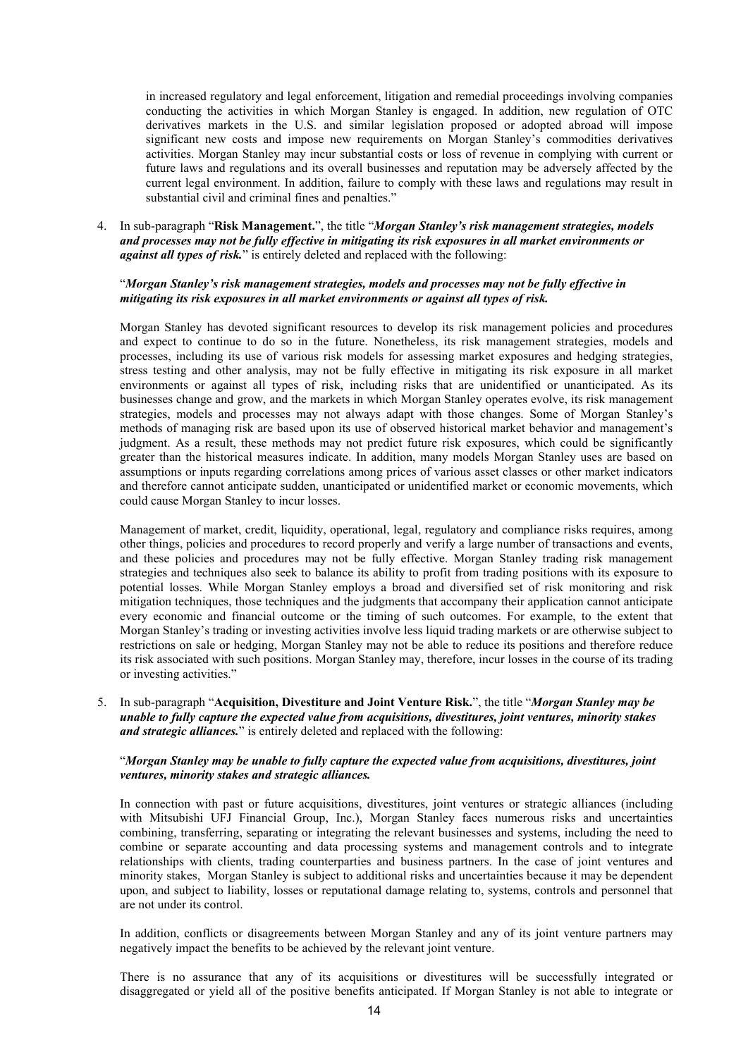in increased regulatory and legal enforcement, litigation and remedial proceedings involving companies conducting the activities in which Morgan Stanley is engaged. In addition, new regulation of OTC derivatives markets in the U.S. and similar legislation proposed or adopted abroad will impose significant new costs and impose new requirements on Morgan Stanley's commodities derivatives activities. Morgan Stanley may incur substantial costs or loss of revenue in complying with current or future laws and regulations and its overall businesses and reputation may be adversely affected by the current legal environment. In addition, failure to comply with these laws and regulations may result in substantial civil and criminal fines and penalties."

4. In sub-paragraph "**Risk Management.**", the title "*Morgan Stanley's risk management strategies, models and processes may not be fully effective in mitigating its risk exposures in all market environments or against all types of risk.*" is entirely deleted and replaced with the following:

#### "*Morgan Stanley's risk management strategies, models and processes may not be fully effective in mitigating its risk exposures in all market environments or against all types of risk.*

Morgan Stanley has devoted significant resources to develop its risk management policies and procedures and expect to continue to do so in the future. Nonetheless, its risk management strategies, models and processes, including its use of various risk models for assessing market exposures and hedging strategies, stress testing and other analysis, may not be fully effective in mitigating its risk exposure in all market environments or against all types of risk, including risks that are unidentified or unanticipated. As its businesses change and grow, and the markets in which Morgan Stanley operates evolve, its risk management strategies, models and processes may not always adapt with those changes. Some of Morgan Stanley's methods of managing risk are based upon its use of observed historical market behavior and management's judgment. As a result, these methods may not predict future risk exposures, which could be significantly greater than the historical measures indicate. In addition, many models Morgan Stanley uses are based on assumptions or inputs regarding correlations among prices of various asset classes or other market indicators and therefore cannot anticipate sudden, unanticipated or unidentified market or economic movements, which could cause Morgan Stanley to incur losses.

Management of market, credit, liquidity, operational, legal, regulatory and compliance risks requires, among other things, policies and procedures to record properly and verify a large number of transactions and events, and these policies and procedures may not be fully effective. Morgan Stanley trading risk management strategies and techniques also seek to balance its ability to profit from trading positions with its exposure to potential losses. While Morgan Stanley employs a broad and diversified set of risk monitoring and risk mitigation techniques, those techniques and the judgments that accompany their application cannot anticipate every economic and financial outcome or the timing of such outcomes. For example, to the extent that Morgan Stanley's trading or investing activities involve less liquid trading markets or are otherwise subject to restrictions on sale or hedging, Morgan Stanley may not be able to reduce its positions and therefore reduce its risk associated with such positions. Morgan Stanley may, therefore, incur losses in the course of its trading or investing activities."

5. In sub-paragraph "**Acquisition, Divestiture and Joint Venture Risk.**", the title "*Morgan Stanley may be unable to fully capture the expected value from acquisitions, divestitures, joint ventures, minority stakes and strategic alliances.*" is entirely deleted and replaced with the following:

#### "*Morgan Stanley may be unable to fully capture the expected value from acquisitions, divestitures, joint ventures, minority stakes and strategic alliances.*

In connection with past or future acquisitions, divestitures, joint ventures or strategic alliances (including with Mitsubishi UFJ Financial Group, Inc.), Morgan Stanley faces numerous risks and uncertainties combining, transferring, separating or integrating the relevant businesses and systems, including the need to combine or separate accounting and data processing systems and management controls and to integrate relationships with clients, trading counterparties and business partners. In the case of joint ventures and minority stakes, Morgan Stanley is subject to additional risks and uncertainties because it may be dependent upon, and subject to liability, losses or reputational damage relating to, systems, controls and personnel that are not under its control.

In addition, conflicts or disagreements between Morgan Stanley and any of its joint venture partners may negatively impact the benefits to be achieved by the relevant joint venture.

There is no assurance that any of its acquisitions or divestitures will be successfully integrated or disaggregated or yield all of the positive benefits anticipated. If Morgan Stanley is not able to integrate or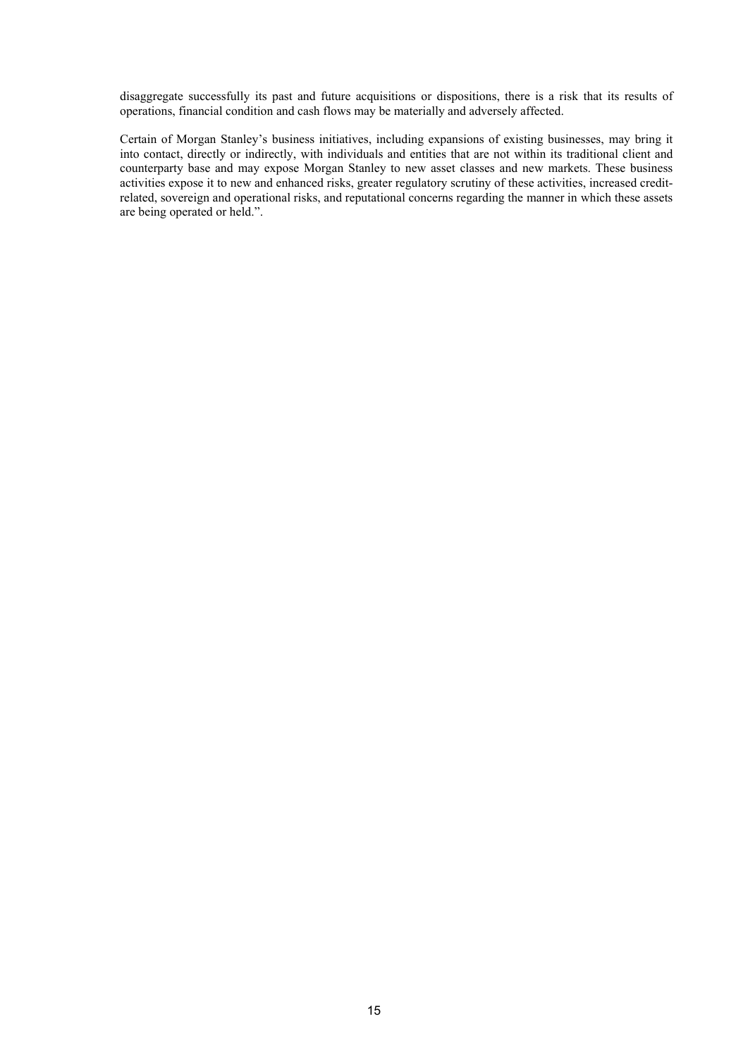disaggregate successfully its past and future acquisitions or dispositions, there is a risk that its results of operations, financial condition and cash flows may be materially and adversely affected.

Certain of Morgan Stanley's business initiatives, including expansions of existing businesses, may bring it into contact, directly or indirectly, with individuals and entities that are not within its traditional client and counterparty base and may expose Morgan Stanley to new asset classes and new markets. These business activities expose it to new and enhanced risks, greater regulatory scrutiny of these activities, increased creditrelated, sovereign and operational risks, and reputational concerns regarding the manner in which these assets are being operated or held.".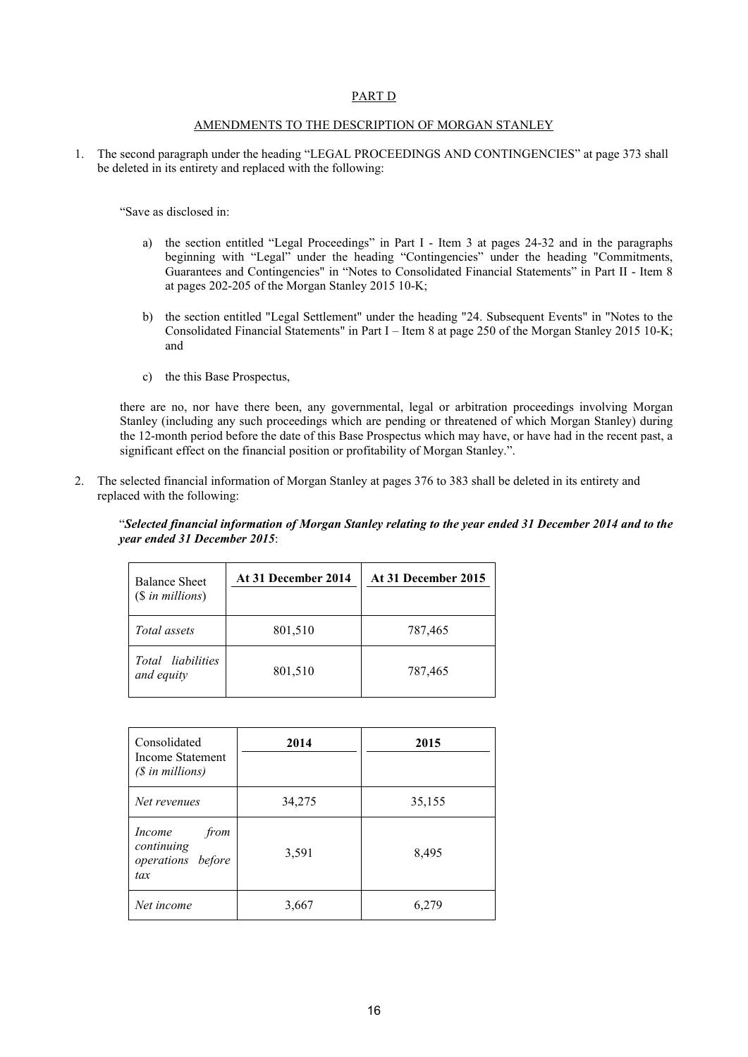#### <span id="page-15-0"></span>PART D

#### AMENDMENTS TO THE DESCRIPTION OF MORGAN STANLEY

1. The second paragraph under the heading "LEGAL PROCEEDINGS AND CONTINGENCIES" at page 373 shall be deleted in its entirety and replaced with the following:

"Save as disclosed in:

- a) the section entitled "Legal Proceedings" in Part I Item 3 at pages 24-32 and in the paragraphs beginning with "Legal" under the heading "Contingencies" under the heading "Commitments, Guarantees and Contingencies" in "Notes to Consolidated Financial Statements" in Part II - Item 8 at pages 202-205 of the Morgan Stanley 2015 10-K;
- b) the section entitled "Legal Settlement" under the heading "24. Subsequent Events" in "Notes to the Consolidated Financial Statements" in Part I – Item 8 at page 250 of the Morgan Stanley 2015 10-K; and
- c) the this Base Prospectus,

there are no, nor have there been, any governmental, legal or arbitration proceedings involving Morgan Stanley (including any such proceedings which are pending or threatened of which Morgan Stanley) during the 12-month period before the date of this Base Prospectus which may have, or have had in the recent past, a significant effect on the financial position or profitability of Morgan Stanley.".

2. The selected financial information of Morgan Stanley at pages 376 to 383 shall be deleted in its entirety and replaced with the following:

"*Selected financial information of Morgan Stanley relating to the year ended 31 December 2014 and to the year ended 31 December 2015*:

| <b>Balance Sheet</b><br>$($in\, millions)$ | At 31 December 2014 | At 31 December 2015 |
|--------------------------------------------|---------------------|---------------------|
| Total assets                               | 801,510             | 787,465             |
| Total liabilities<br>and equity            | 801,510             | 787,465             |

| Consolidated<br>Income Statement<br>(\$ in millions)     | 2014   | 2015   |
|----------------------------------------------------------|--------|--------|
| Net revenues                                             | 34,275 | 35,155 |
| from<br>Income<br>continuing<br>operations before<br>tax | 3,591  | 8,495  |
| Net income                                               | 3,667  | 6,279  |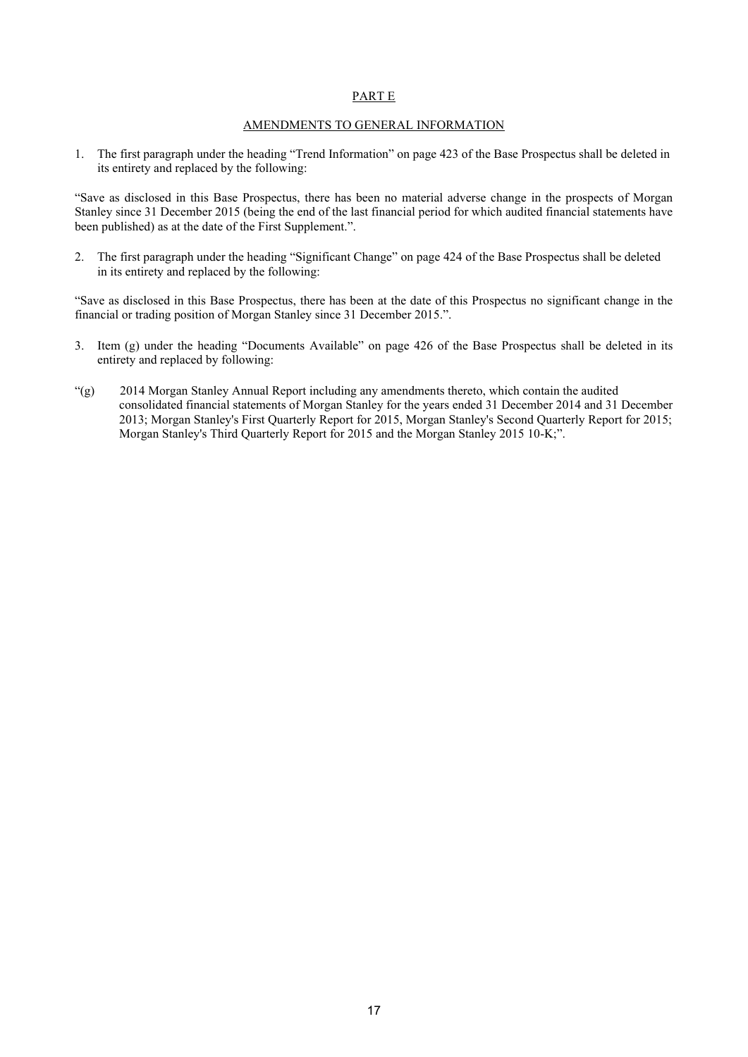#### <span id="page-16-0"></span>PART E

#### AMENDMENTS TO GENERAL INFORMATION

1. The first paragraph under the heading "Trend Information" on page 423 of the Base Prospectus shall be deleted in its entirety and replaced by the following:

"Save as disclosed in this Base Prospectus, there has been no material adverse change in the prospects of Morgan Stanley since 31 December 2015 (being the end of the last financial period for which audited financial statements have been published) as at the date of the First Supplement.".

2. The first paragraph under the heading "Significant Change" on page 424 of the Base Prospectus shall be deleted in its entirety and replaced by the following:

"Save as disclosed in this Base Prospectus, there has been at the date of this Prospectus no significant change in the financial or trading position of Morgan Stanley since 31 December 2015.".

- 3. Item (g) under the heading "Documents Available" on page 426 of the Base Prospectus shall be deleted in its entirety and replaced by following:
- "(g) 2014 Morgan Stanley Annual Report including any amendments thereto, which contain the audited consolidated financial statements of Morgan Stanley for the years ended 31 December 2014 and 31 December 2013; Morgan Stanley's First Quarterly Report for 2015, Morgan Stanley's Second Quarterly Report for 2015; Morgan Stanley's Third Quarterly Report for 2015 and the Morgan Stanley 2015 10-K;".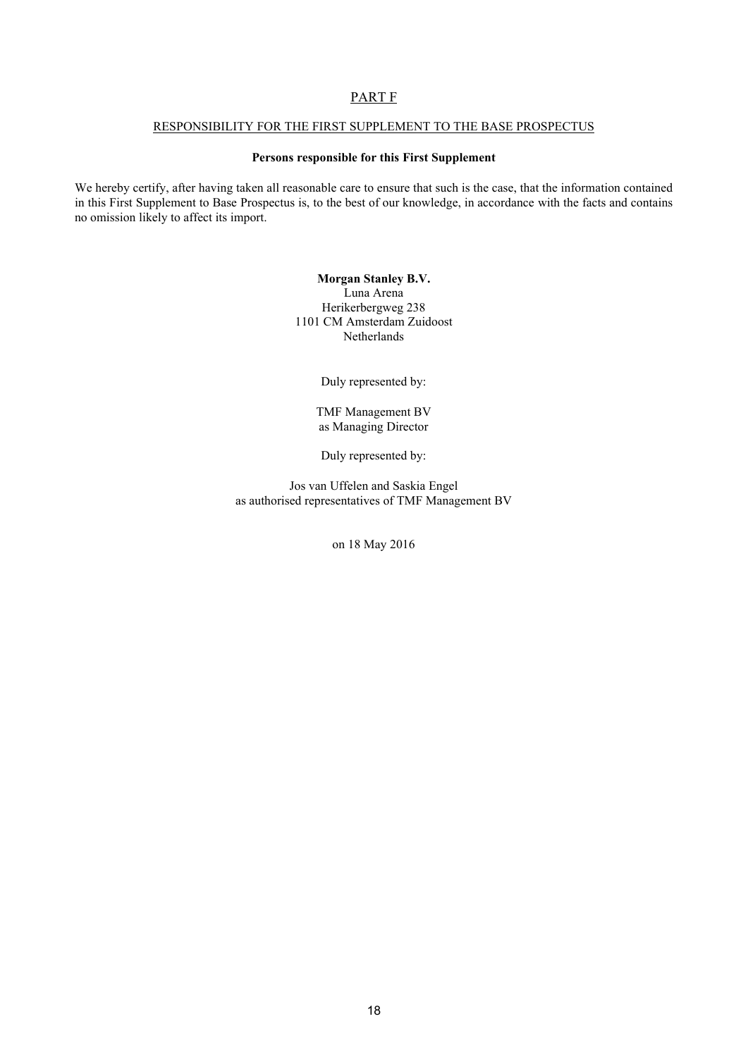## <span id="page-17-0"></span>PART F

### RESPONSIBILITY FOR THE FIRST SUPPLEMENT TO THE BASE PROSPECTUS

#### **Persons responsible for this First Supplement**

We hereby certify, after having taken all reasonable care to ensure that such is the case, that the information contained in this First Supplement to Base Prospectus is, to the best of our knowledge, in accordance with the facts and contains no omission likely to affect its import.

> **Morgan Stanley B.V.** Luna Arena Herikerbergweg 238 1101 CM Amsterdam Zuidoost Netherlands

> > Duly represented by:

TMF Management BV as Managing Director

Duly represented by:

Jos van Uffelen and Saskia Engel as authorised representatives of TMF Management BV

on 18 May 2016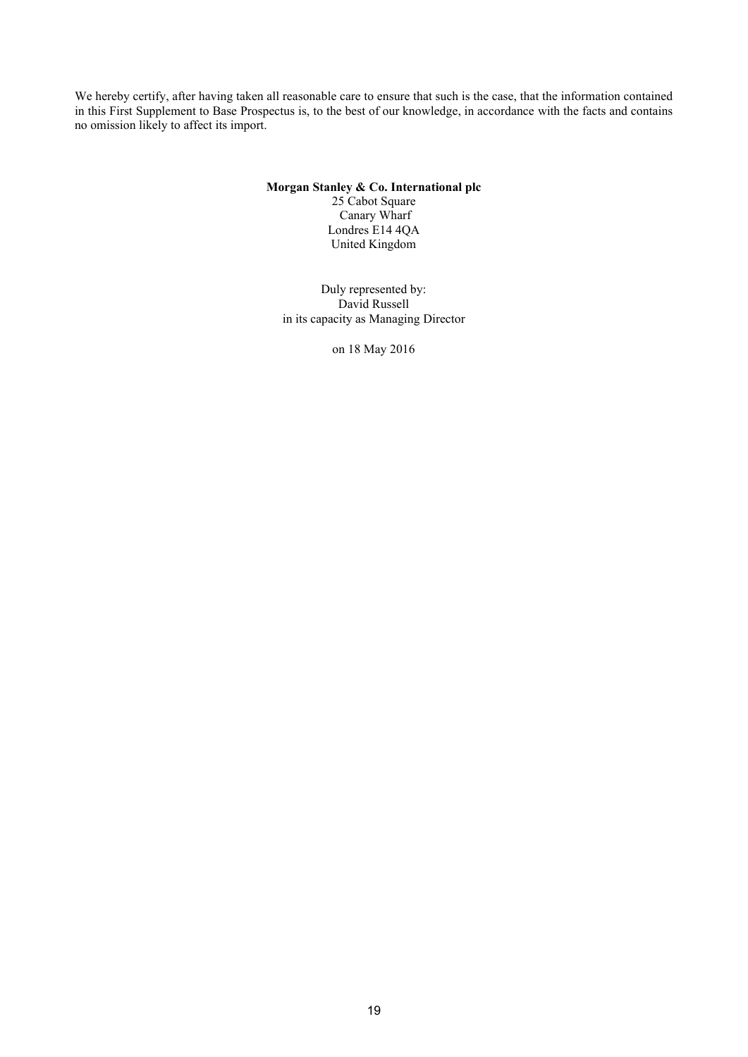We hereby certify, after having taken all reasonable care to ensure that such is the case, that the information contained in this First Supplement to Base Prospectus is, to the best of our knowledge, in accordance with the facts and contains no omission likely to affect its import.

#### **Morgan Stanley & Co. International plc**

25 Cabot Square Canary Wharf Londres E14 4QA United Kingdom

Duly represented by: David Russell in its capacity as Managing Director

on 18 May 2016